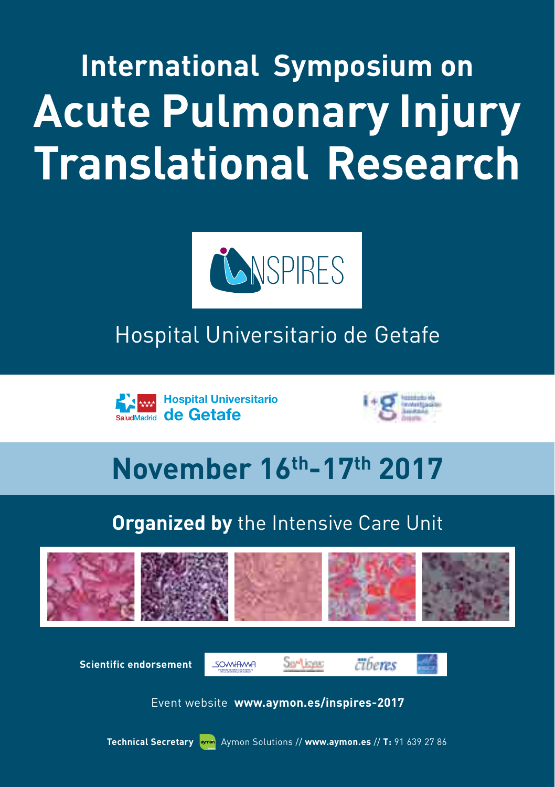**International Symposium on Acute Pulmonary Injury Translational Research**



# Hospital Universitario de Getafe





# **November 16th-17th 2017**

# **Organized by** the Intensive Care Unit



**Scientific endorsement**

SOVWIAWA





Event website **www.aymon.es/inspires-2017**

**Technical Secretary** aymon Aymon Solutions // www.aymon.es // T: 91 639 27 86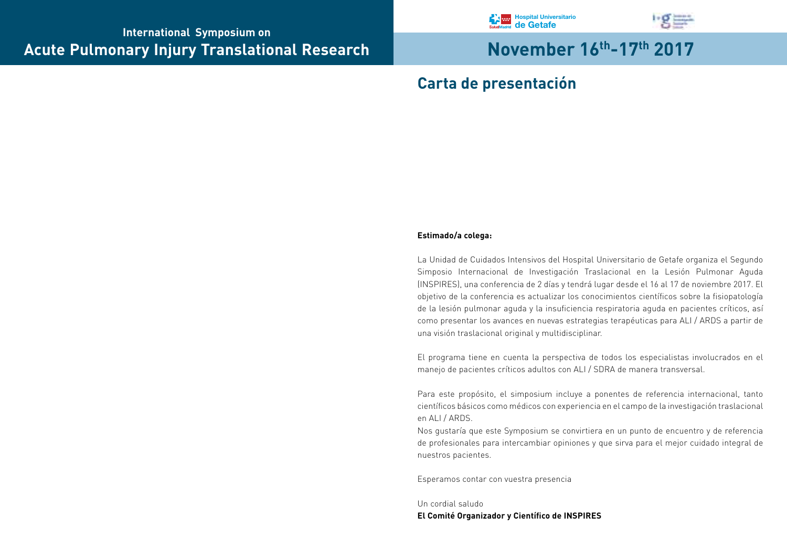



# **Carta de presentación**

#### **Estimado/a colega:**

La Unidad de Cuidados Intensivos del Hospital Universitario de Getafe organiza el Segundo Simposio Internacional de Investigación Traslacional en la Lesión Pulmonar Aguda (INSPIRES), una conferencia de 2 días y tendrá lugar desde el 16 al 17 de noviembre 2017. El objetivo de la conferencia es actualizar los conocimientos científicos sobre la fisiopatología de la lesión pulmonar aguda y la insuficiencia respiratoria aguda en pacientes críticos, así como presentar los avances en nuevas estrategias terapéuticas para ALI / ARDS a partir de una visión traslacional original y multidisciplinar.

El programa tiene en cuenta la perspectiva de todos los especialistas involucrados en el manejo de pacientes críticos adultos con ALI / SDRA de manera transversal.

Para este propósito, el simposium incluye a ponentes de referencia internacional, tanto científicos básicos como médicos con experiencia en el campo de la investigación traslacional en ALI / ARDS.

Nos gustaría que este Symposium se convirtiera en un punto de encuentro y de referencia de profesionales para intercambiar opiniones y que sirva para el mejor cuidado integral de nuestros pacientes.

Esperamos contar con vuestra presencia

Un cordial saludo **El Comité Organizador y Científico de INSPIRES**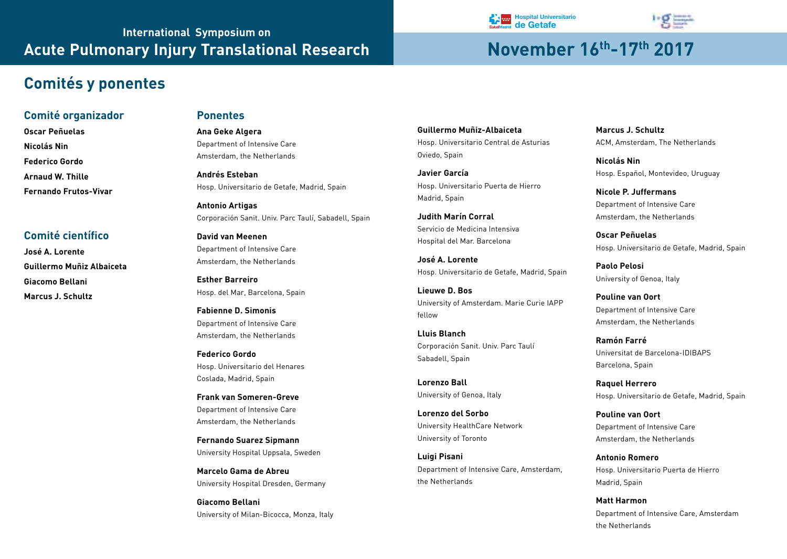# **Comités y ponentes**

#### **Comité organizador**

**Oscar Peñuelas Nicolás Nin Federico Gordo Arnaud W. Thille Fernando Frutos-Vivar**

#### **Comité científico**

**José A. Lorente Guillermo Muñiz Albaiceta Giacomo Bellani Marcus J. Schultz** 

#### **Ponentes**

**Ana Geke Algera** Department of Intensive Care Amsterdam, the Netherlands

**Andrés Esteban** Hosp. Universitario de Getafe, Madrid, Spain

**Antonio Artigas** Corporación Sanit. Univ. Parc Taulí, Sabadell, Spain

**David van Meenen** Department of Intensive Care Amsterdam, the Netherlands

**Esther Barreiro** Hosp. del Mar, Barcelona, Spain

**Fabienne D. Simonis** Department of Intensive Care Amsterdam, the Netherlands

**Federico Gordo** Hosp. Universitario del Henares Coslada, Madrid, Spain

**Frank van Someren-Greve** Department of Intensive Care Amsterdam, the Netherlands

**Fernando Suarez Sipmann** University Hospital Uppsala, Sweden

**Marcelo Gama de Abreu** University Hospital Dresden, Germany

**Giacomo Bellani** University of Milan-Bicocca, Monza, Italy **Guillermo Muñiz-Albaiceta** Hosp. Universitario Central de Asturias Oviedo, Spain

**RA** ww

**Javier García** Hosp. Universitario Puerta de Hierro Madrid, Spain

**Judith Marín Corral** Servicio de Medicina Intensiva Hospital del Mar. Barcelona

**José A. Lorente** Hosp. Universitario de Getafe, Madrid, Spain

**Lieuwe D. Bos** University of Amsterdam. Marie Curie IAPP fellow

**Lluis Blanch** Corporación Sanit. Univ. Parc Taulí Sabadell, Spain

**Lorenzo Ball** University of Genoa, Italy

**Lorenzo del Sorbo** University HealthCare Network University of Toronto

**Luigi Pisani** Department of Intensive Care, Amsterdam, the Netherlands

**Marcus J. Schultz** ACM, Amsterdam, The Netherlands

**Nicolás Nin** Hosp. Español, Montevideo, Uruguay

**Nicole P. Juffermans** Department of Intensive Care Amsterdam, the Netherlands

**Oscar Peñuelas** Hosp. Universitario de Getafe, Madrid, Spain

**Paolo Pelosi** University of Genoa, Italy

**Pouline van Oort** Department of Intensive Care Amsterdam, the Netherlands

**Ramón Farré** Universitat de Barcelona-IDIBAPS Barcelona, Spain

**Raquel Herrero** Hosp. Universitario de Getafe, Madrid, Spain

**Pouline van Oort** Department of Intensive Care Amsterdam, the Netherlands

**Antonio Romero** Hosp. Universitario Puerta de Hierro Madrid, Spain

**Matt Harmon** Department of Intensive Care, Amsterdam the Netherlands



**Hospital Universitario de Getafe**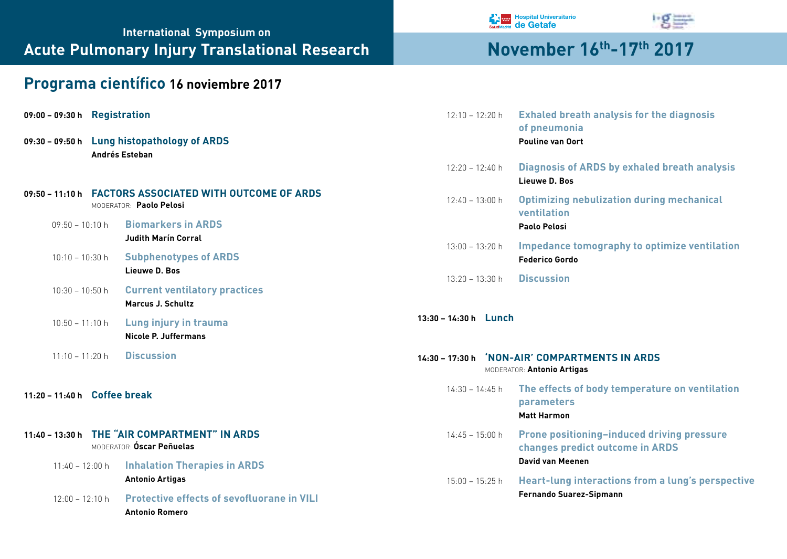# **International Symposium on Acute Pulmonary Injury Translational Research Movember 16th-17th 2017**

# **Programa científico 16 noviembre 2017**

| 09:00 - 09:30 h Registration |  |
|------------------------------|--|
|------------------------------|--|

**09:30 – 09:50 h Lung histopathology of ARDS Andrés Esteban**

#### **09:50 – 11:10 h FACTORS ASSOCIATED WITH OUTCOME OF ARDS** Moderator: **Paolo Pelosi**

- 09:50 10:10 h **Biomarkers in ARDS Judith Marín Corral**
- 10:10 10:30 h **Subphenotypes of ARDS Lieuwe D. Bos**
- 10:30 10:50 h **Current ventilatory practices Marcus J. Schultz**
- 10:50 11:10 h **Lung injury in trauma Nicole P. Juffermans**
- 11:10 11:20 h **Discussion**

#### **11:20 – 11:40 h Coffee break**

#### **11:40 – 13:30 h THE "AIR COMPARTMENT" IN ARDS** Moderator: **Óscar Peñuelas**

- 11:40 12:00 h **Inhalation Therapies in ARDS Antonio Artigas**
- 12:00 12:10 h **Protective effects of sevofluorane in VILI Antonio Romero**





| $12:10 - 12:20 h$                                                                                      | <b>Exhaled breath analysis for the diagnosis</b><br>of pneumonia<br><b>Pouline van Oort</b>              |  |  |  |
|--------------------------------------------------------------------------------------------------------|----------------------------------------------------------------------------------------------------------|--|--|--|
| $12:20 - 12:40 h$                                                                                      | <b>Diagnosis of ARDS by exhaled breath analysis</b><br>Lieuwe D. Bos                                     |  |  |  |
| $12:40 - 13:00 h$                                                                                      | <b>Optimizing nebulization during mechanical</b><br>ventilation<br>Paolo Pelosi                          |  |  |  |
| $13:00 - 13:20 h$                                                                                      | <b>Impedance tomography to optimize ventilation</b><br><b>Federico Gordo</b>                             |  |  |  |
| $13.20 - 13.30 h$                                                                                      | <b>Discussion</b>                                                                                        |  |  |  |
| $13:30 - 14:30 h$ Lunch<br>14:30 - 17:30 h NON-AIR' COMPARTMENTS IN ARDS<br>MODERATOR: Antonio Artigas |                                                                                                          |  |  |  |
| $14.30 - 14.45$ h                                                                                      | The effects of body temperature on ventilation<br>parameters<br><b>Matt Harmon</b>                       |  |  |  |
| $14:45 - 15:00 h$                                                                                      | <b>Prone positioning-induced driving pressure</b><br>changes predict outcome in ARDS<br>David van Meenen |  |  |  |
| $15:00 - 15:25 h$                                                                                      | <b>Heart-lung interactions from a lung's perspective</b><br><b>Fernando Suarez-Sipmann</b>               |  |  |  |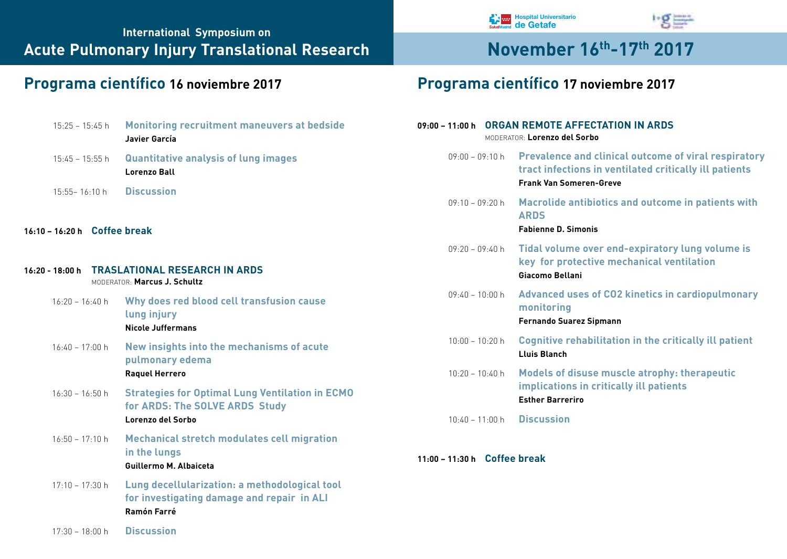| $15:25 - 15:45$ h            | <b>Monitoring recruitment maneuvers at bedside</b><br>Javier García                                               |
|------------------------------|-------------------------------------------------------------------------------------------------------------------|
| $15:45 - 15:55 h$            | <b>Quantitative analysis of lung images</b><br>Lorenzo Ball                                                       |
| $15.55 - 16.10 h$            | <b>Discussion</b>                                                                                                 |
| 16:10 - 16:20 h Coffee break |                                                                                                                   |
|                              | 16:20 - 18:00 h TRASLATIONAL RESEARCH IN ARDS<br>MODERATOR: Marcus J. Schultz                                     |
| $16.20 - 16.40 h$            | Why does red blood cell transfusion cause<br>lung injury<br><b>Nicole Juffermans</b>                              |
| $16:40 - 17:00 h$            | New insights into the mechanisms of acute<br>pulmonary edema<br><b>Raquel Herrero</b>                             |
| $16:30 - 16:50 h$            | <b>Strategies for Optimal Lung Ventilation in ECMO</b><br>for ARDS: The SOLVE ARDS Study<br>Lorenzo del Sorbo     |
| $16:50 - 17:10 h$            | <b>Mechanical stretch modulates cell migration</b><br>in the lungs<br>Guillermo M. Albaiceta                      |
| $17:10 - 17:30$ h            | Lung decellularization: a methodological tool<br>for investigating damage and repair in ALI<br><b>Ramón Farré</b> |

 $\log$ 

# **Programa científico 16 noviembre 2017 Programa científico 17 noviembre 2017**

**Hospital Universitario de Getafe**

| 09:00 - 11:00 h ORGAN REMOTE AFFECTATION IN ARDS<br>MODERATOR: Lorenzo del Sorbo |                                                                                                                                                                  |  |  |  |
|----------------------------------------------------------------------------------|------------------------------------------------------------------------------------------------------------------------------------------------------------------|--|--|--|
|                                                                                  | 09:00 - 09:10 h Prevalence and clinical outcome of viral respiratory<br>tract infections in ventilated critically ill patients<br><b>Frank Van Someren-Greve</b> |  |  |  |
| $09:10 - 09:20$ h                                                                | Macrolide antibiotics and outcome in patients with<br><b>ARDS</b><br><b>Fabienne D. Simonis</b>                                                                  |  |  |  |
| $09:20 - 09:40$ h                                                                | Tidal volume over end-expiratory lung volume is<br>key for protective mechanical ventilation<br>Giacomo Bellani                                                  |  |  |  |
| $09.40 - 10.00$ h                                                                | <b>Advanced uses of CO2 kinetics in cardiopulmonary</b><br>monitoring<br><b>Fernando Suarez Sipmann</b>                                                          |  |  |  |
| $10:00 - 10:20$ h                                                                | <b>Cognitive rehabilitation in the critically ill patient</b><br>Lluis Blanch                                                                                    |  |  |  |
| $10:20 - 10:40$ h                                                                | <b>Models of disuse muscle atrophy: therapeutic</b><br>implications in critically ill patients<br><b>Esther Barreriro</b>                                        |  |  |  |
| $10.40 - 11.00 h$                                                                | <b>Discussion</b>                                                                                                                                                |  |  |  |

#### **11:00 – 11:30 h Coffee break**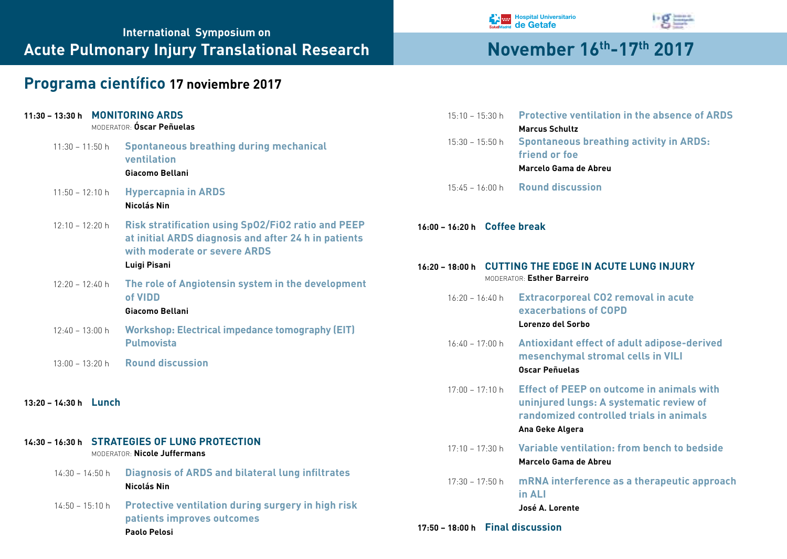# **International Symposium on** Acute Pulmonary Injury Translational Research **November 16th-17th 2017**

# **Programa científico 17 noviembre 2017**

| 11:30 - 13:30 h MONITORING ARDS | MODERATOR: <b>Óscar Peñuelas</b>                                                                                                                  | $15:10 - 15:30$ h                                     | <b>Protective ventilation in the absence of ARDS</b><br><b>Marcus Schultz</b>                                                                             |
|---------------------------------|---------------------------------------------------------------------------------------------------------------------------------------------------|-------------------------------------------------------|-----------------------------------------------------------------------------------------------------------------------------------------------------------|
| $11:30 - 11:50$ h               | <b>Spontaneous breathing during mechanical</b><br>ventilation<br>Giacomo Bellani                                                                  | $15:30 - 15:50$ h                                     | <b>Spontaneous breathing activity in ARDS:</b><br>friend or foe<br>Marcelo Gama de Abreu                                                                  |
| $11:50 - 12:10 h$               | <b>Hypercapnia in ARDS</b><br>Nicolás Nin                                                                                                         | $15:45 - 16:00 h$                                     | <b>Round discussion</b>                                                                                                                                   |
| $12:10 - 12:20$ h               | <b>Risk stratification using SpO2/FiO2 ratio and PEEP</b><br>at initial ARDS diagnosis and after 24 h in patients<br>with moderate or severe ARDS | 16:00 - 16:20 h Coffee break                          |                                                                                                                                                           |
|                                 | Luigi Pisani                                                                                                                                      | 16:20 - 18:00 h CUTTING THE EDGE IN ACUTE LUNG INJURY |                                                                                                                                                           |
| $12:20 - 12:40 h$               | The role of Angiotensin system in the development<br>of VIDD<br>Giacomo Bellani                                                                   | $16:20 - 16:40$ h                                     | MODERATOR: Esther Barreiro<br><b>Extracorporeal CO2 removal in acute</b><br>exacerbations of COPD                                                         |
| $12:40 - 13:00$ h               | <b>Workshop: Electrical impedance tomography (EIT)</b>                                                                                            |                                                       | Lorenzo del Sorbo                                                                                                                                         |
| $13:00 - 13:20$ h               | <b>Pulmovista</b><br><b>Round discussion</b>                                                                                                      | $16:40 - 17:00 h$                                     | Antioxidant effect of adult adipose-derived<br>mesenchymal stromal cells in VILI<br><b>Oscar Peñuelas</b>                                                 |
| 13:20 - 14:30 h Lunch           |                                                                                                                                                   | $17:00 - 17:10$ h                                     | <b>Effect of PEEP on outcome in animals with</b><br>uninjured lungs: A systematic review of<br>randomized controlled trials in animals<br>Ana Geke Algera |
|                                 | 14:30 - 16:30 h STRATEGIES OF LUNG PROTECTION<br>MODERATOR: Nicole Juffermans                                                                     | $17:10 - 17:30$ h                                     | Variable ventilation: from bench to bedside<br>Marcelo Gama de Abreu                                                                                      |
| $14:30 - 14:50 h$               | <b>Diagnosis of ARDS and bilateral lung infiltrates</b><br>Nicolás Nin                                                                            | $17:30 - 17:50$ h                                     | mRNA interference as a therapeutic approach<br>in ALI                                                                                                     |
| $14:50 - 15:10$ h               | Protective ventilation during surgery in high risk<br>patients improves outcomes<br>Paolo Pelosi                                                  | 17:50 - 18:00 h Final discussion                      | José A. Lorente                                                                                                                                           |
|                                 |                                                                                                                                                   |                                                       |                                                                                                                                                           |

**Hospital Universitario de Getafe**

**hg=**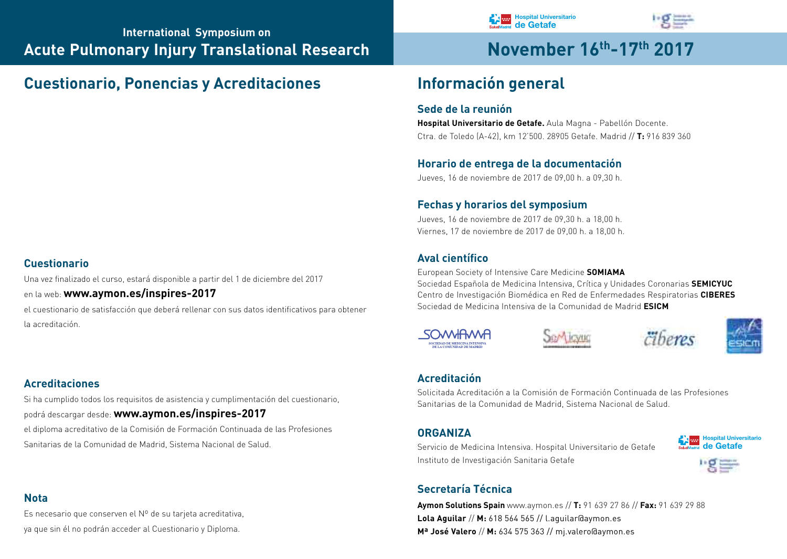# **Cuestionario, Ponencias y Acreditaciones Información general**

# **Cuestionario**

Una vez finalizado el curso, estará disponible a partir del 1 de diciembre del 2017

en la web: **www.aymon.es/inspires-2017**

el cuestionario de satisfacción que deberá rellenar con sus datos identificativos para obtener la acreditación.

# **Acreditaciones**

Si ha cumplido todos los requisitos de asistencia y cumplimentación del cuestionario, podrá descargar desde: **www.aymon.es/inspires-2017** el diploma acreditativo de la Comisión de Formación Continuada de las Profesiones Sanitarias de la Comunidad de Madrid, Sistema Nacional de Salud.

# **Nota**

Es necesario que conserven el Nº de su tarjeta acreditativa, ya que sin él no podrán acceder al Cuestionario y Diploma.

### **Sede de la reunión**

**Hospital Universitario de Getafe.** Aula Magna - Pabellón Docente. Ctra. de Toledo (A-42), km 12'500. 28905 Getafe. Madrid // **T:** 916 839 360

**Hospital Universitario de Getafe**

### **Horario de entrega de la documentación**

Jueves, 16 de noviembre de 2017 de 09,00 h. a 09,30 h.

### **Fechas y horarios del symposium**

Jueves, 16 de noviembre de 2017 de 09,30 h. a 18,00 h. Viernes, 17 de noviembre de 2017 de 09,00 h. a 18,00 h.

### **Aval científico**

European Society of Intensive Care Medicine **SOMIAMA** Sociedad Española de Medicina Intensiva, Crítica y Unidades Coronarias **SEMICYUC** Centro de Investigación Biomédica en Red de Enfermedades Respiratorias **CIBERES** Sociedad de Medicina Intensiva de la Comunidad de Madrid **ESICM**









### **Acreditación**

Solicitada Acreditación a la Comisión de Formación Continuada de las Profesiones Sanitarias de la Comunidad de Madrid, Sistema Nacional de Salud.

### **ORGANIZA**

Servicio de Medicina Intensiva. Hospital Universitario de Getafe Instituto de Investigación Sanitaria Getafe





# **Secretaría Técnica**

**Aymon Solutions Spain** www.aymon.es // **T:** 91 639 27 86 // **Fax:** 91 639 29 88 **Lola Aguilar** // **M:** 618 564 565 // l.aguilar@aymon.es **Mª José Valero** // **M:** 634 575 363 // mj.valero@aymon.es

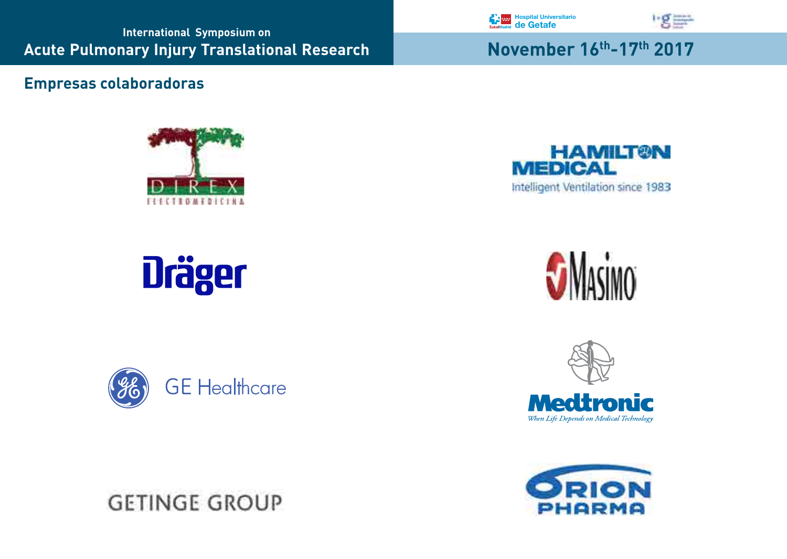**International Symposium on Acute Pulmonary Injury Translational Research Movember 16th-17th 2017** 

# **Empresas colaboradoras**



# **Dräger**



**GETINGE GROUP**